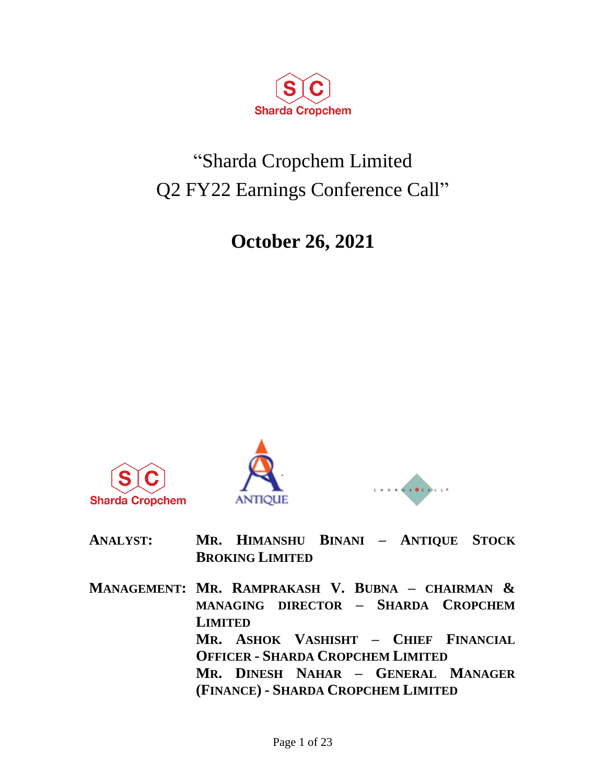

# "Sharda Cropchem Limited Q2 FY22 Earnings Conference Call"

# **October 26, 2021**







| <b>ANALYST:</b> | MR. HIMANSHU BINANI - ANTIQUE STOCK |  |  |
|-----------------|-------------------------------------|--|--|
|                 | <b>BROKING LIMITED</b>              |  |  |

**MANAGEMENT: MR. RAMPRAKASH V. BUBNA – CHAIRMAN & MANAGING DIRECTOR – SHARDA CROPCHEM LIMITED MR. ASHOK VASHISHT – CHIEF FINANCIAL OFFICER - SHARDA CROPCHEM LIMITED MR. DINESH NAHAR – GENERAL MANAGER (FINANCE) - SHARDA CROPCHEM LIMITED**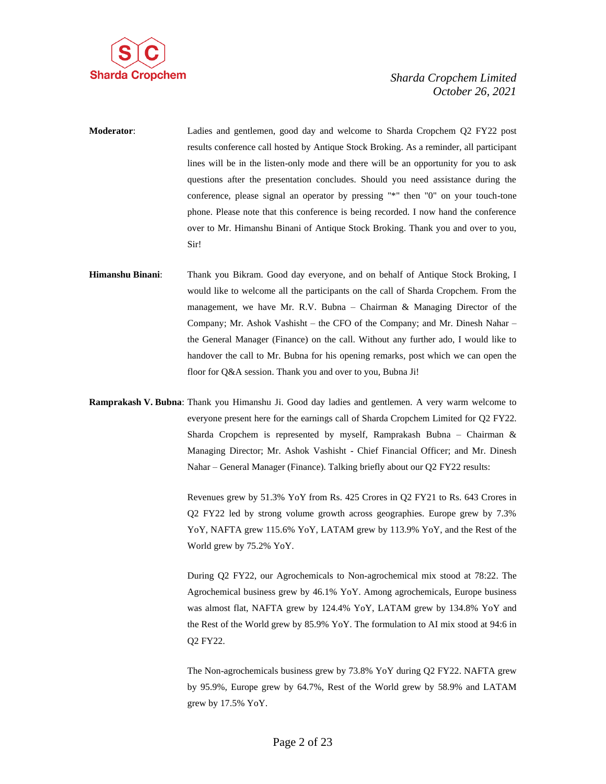

- **Moderator**: Ladies and gentlemen, good day and welcome to Sharda Cropchem Q2 FY22 post results conference call hosted by Antique Stock Broking. As a reminder, all participant lines will be in the listen-only mode and there will be an opportunity for you to ask questions after the presentation concludes. Should you need assistance during the conference, please signal an operator by pressing "\*" then "0" on your touch-tone phone. Please note that this conference is being recorded. I now hand the conference over to Mr. Himanshu Binani of Antique Stock Broking. Thank you and over to you, Sir!
- **Himanshu Binani**: Thank you Bikram. Good day everyone, and on behalf of Antique Stock Broking, I would like to welcome all the participants on the call of Sharda Cropchem. From the management, we have Mr. R.V. Bubna – Chairman & Managing Director of the Company; Mr. Ashok Vashisht – the CFO of the Company; and Mr. Dinesh Nahar – the General Manager (Finance) on the call. Without any further ado, I would like to handover the call to Mr. Bubna for his opening remarks, post which we can open the floor for O&A session. Thank you and over to you, Bubna Ji!
- **Ramprakash V. Bubna**: Thank you Himanshu Ji. Good day ladies and gentlemen. A very warm welcome to everyone present here for the earnings call of Sharda Cropchem Limited for Q2 FY22. Sharda Cropchem is represented by myself, Ramprakash Bubna – Chairman & Managing Director; Mr. Ashok Vashisht - Chief Financial Officer; and Mr. Dinesh Nahar – General Manager (Finance). Talking briefly about our Q2 FY22 results:

Revenues grew by 51.3% YoY from Rs. 425 Crores in Q2 FY21 to Rs. 643 Crores in Q2 FY22 led by strong volume growth across geographies. Europe grew by 7.3% YoY, NAFTA grew 115.6% YoY, LATAM grew by 113.9% YoY, and the Rest of the World grew by 75.2% YoY.

During Q2 FY22, our Agrochemicals to Non-agrochemical mix stood at 78:22. The Agrochemical business grew by 46.1% YoY. Among agrochemicals, Europe business was almost flat, NAFTA grew by 124.4% YoY, LATAM grew by 134.8% YoY and the Rest of the World grew by 85.9% YoY. The formulation to AI mix stood at 94:6 in Q2 FY22.

The Non-agrochemicals business grew by 73.8% YoY during Q2 FY22. NAFTA grew by 95.9%, Europe grew by 64.7%, Rest of the World grew by 58.9% and LATAM grew by 17.5% YoY.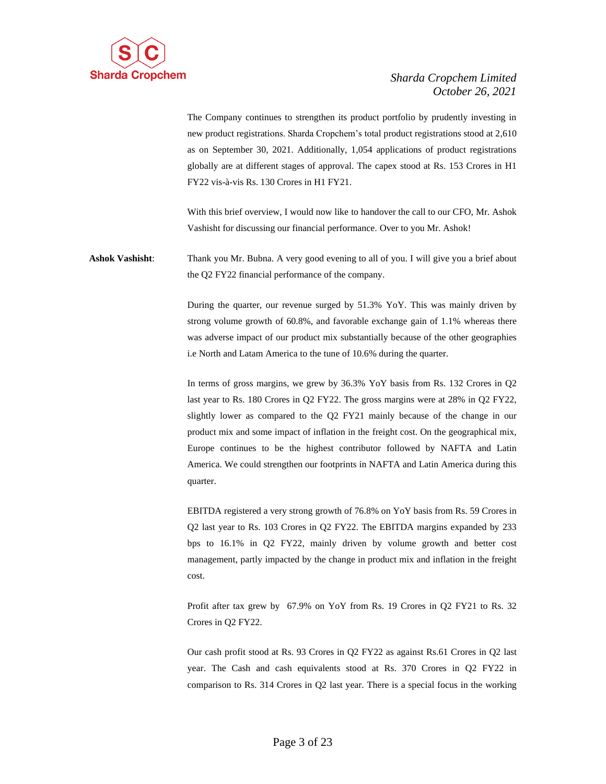

The Company continues to strengthen its product portfolio by prudently investing in new product registrations. Sharda Cropchem's total product registrations stood at 2,610 as on September 30, 2021. Additionally, 1,054 applications of product registrations globally are at different stages of approval. The capex stood at Rs. 153 Crores in H1 FY22 vis-à-vis Rs. 130 Crores in H1 FY21.

With this brief overview, I would now like to handover the call to our CFO, Mr. Ashok Vashisht for discussing our financial performance. Over to you Mr. Ashok!

**Ashok Vashisht**: Thank you Mr. Bubna. A very good evening to all of you. I will give you a brief about the Q2 FY22 financial performance of the company.

> During the quarter, our revenue surged by 51.3% YoY. This was mainly driven by strong volume growth of 60.8%, and favorable exchange gain of 1.1% whereas there was adverse impact of our product mix substantially because of the other geographies i.e North and Latam America to the tune of 10.6% during the quarter.

> In terms of gross margins, we grew by 36.3% YoY basis from Rs. 132 Crores in Q2 last year to Rs. 180 Crores in Q2 FY22. The gross margins were at 28% in Q2 FY22, slightly lower as compared to the Q2 FY21 mainly because of the change in our product mix and some impact of inflation in the freight cost. On the geographical mix, Europe continues to be the highest contributor followed by NAFTA and Latin America. We could strengthen our footprints in NAFTA and Latin America during this quarter.

> EBITDA registered a very strong growth of 76.8% on YoY basis from Rs. 59 Crores in Q2 last year to Rs. 103 Crores in Q2 FY22. The EBITDA margins expanded by 233 bps to 16.1% in Q2 FY22, mainly driven by volume growth and better cost management, partly impacted by the change in product mix and inflation in the freight cost.

> Profit after tax grew by 67.9% on YoY from Rs. 19 Crores in Q2 FY21 to Rs. 32 Crores in Q2 FY22.

> Our cash profit stood at Rs. 93 Crores in Q2 FY22 as against Rs.61 Crores in Q2 last year. The Cash and cash equivalents stood at Rs. 370 Crores in Q2 FY22 in comparison to Rs. 314 Crores in Q2 last year. There is a special focus in the working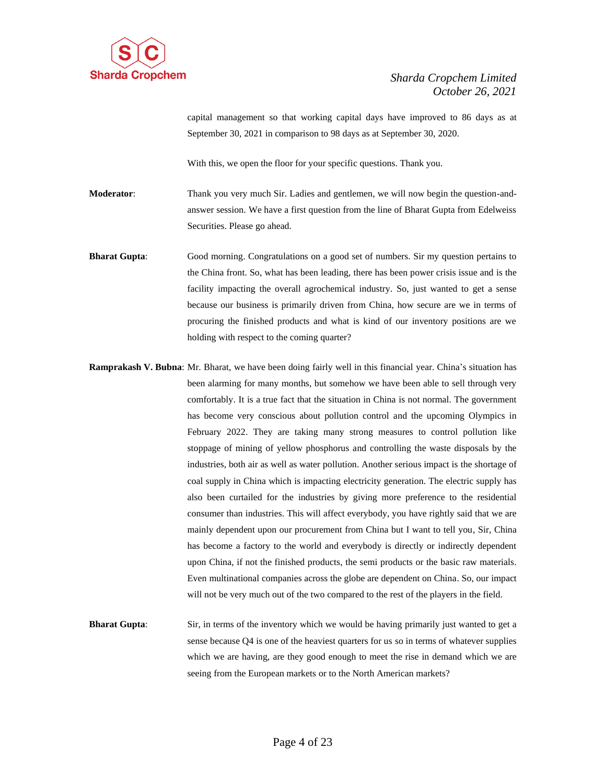

capital management so that working capital days have improved to 86 days as at September 30, 2021 in comparison to 98 days as at September 30, 2020.

With this, we open the floor for your specific questions. Thank you.

**Moderator**: Thank you very much Sir. Ladies and gentlemen, we will now begin the question-andanswer session. We have a first question from the line of Bharat Gupta from Edelweiss Securities. Please go ahead.

- **Bharat Gupta**: Good morning. Congratulations on a good set of numbers. Sir my question pertains to the China front. So, what has been leading, there has been power crisis issue and is the facility impacting the overall agrochemical industry. So, just wanted to get a sense because our business is primarily driven from China, how secure are we in terms of procuring the finished products and what is kind of our inventory positions are we holding with respect to the coming quarter?
- **Ramprakash V. Bubna**: Mr. Bharat, we have been doing fairly well in this financial year. China's situation has been alarming for many months, but somehow we have been able to sell through very comfortably. It is a true fact that the situation in China is not normal. The government has become very conscious about pollution control and the upcoming Olympics in February 2022. They are taking many strong measures to control pollution like stoppage of mining of yellow phosphorus and controlling the waste disposals by the industries, both air as well as water pollution. Another serious impact is the shortage of coal supply in China which is impacting electricity generation. The electric supply has also been curtailed for the industries by giving more preference to the residential consumer than industries. This will affect everybody, you have rightly said that we are mainly dependent upon our procurement from China but I want to tell you, Sir, China has become a factory to the world and everybody is directly or indirectly dependent upon China, if not the finished products, the semi products or the basic raw materials. Even multinational companies across the globe are dependent on China. So, our impact will not be very much out of the two compared to the rest of the players in the field.
- **Bharat Gupta**: Sir, in terms of the inventory which we would be having primarily just wanted to get a sense because Q4 is one of the heaviest quarters for us so in terms of whatever supplies which we are having, are they good enough to meet the rise in demand which we are seeing from the European markets or to the North American markets?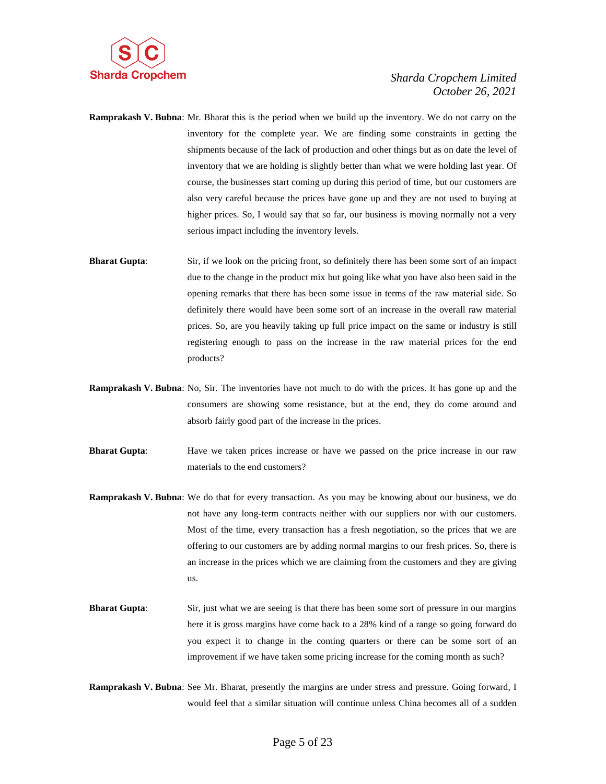

- **Ramprakash V. Bubna**: Mr. Bharat this is the period when we build up the inventory. We do not carry on the inventory for the complete year. We are finding some constraints in getting the shipments because of the lack of production and other things but as on date the level of inventory that we are holding is slightly better than what we were holding last year. Of course, the businesses start coming up during this period of time, but our customers are also very careful because the prices have gone up and they are not used to buying at higher prices. So, I would say that so far, our business is moving normally not a very serious impact including the inventory levels.
- **Bharat Gupta:** Sir, if we look on the pricing front, so definitely there has been some sort of an impact due to the change in the product mix but going like what you have also been said in the opening remarks that there has been some issue in terms of the raw material side. So definitely there would have been some sort of an increase in the overall raw material prices. So, are you heavily taking up full price impact on the same or industry is still registering enough to pass on the increase in the raw material prices for the end products?
- **Ramprakash V. Bubna**: No, Sir. The inventories have not much to do with the prices. It has gone up and the consumers are showing some resistance, but at the end, they do come around and absorb fairly good part of the increase in the prices.
- **Bharat Gupta:** Have we taken prices increase or have we passed on the price increase in our raw materials to the end customers?
- **Ramprakash V. Bubna**: We do that for every transaction. As you may be knowing about our business, we do not have any long-term contracts neither with our suppliers nor with our customers. Most of the time, every transaction has a fresh negotiation, so the prices that we are offering to our customers are by adding normal margins to our fresh prices. So, there is an increase in the prices which we are claiming from the customers and they are giving us.
- **Bharat Gupta:** Sir, just what we are seeing is that there has been some sort of pressure in our margins here it is gross margins have come back to a 28% kind of a range so going forward do you expect it to change in the coming quarters or there can be some sort of an improvement if we have taken some pricing increase for the coming month as such?
- **Ramprakash V. Bubna**: See Mr. Bharat, presently the margins are under stress and pressure. Going forward, I would feel that a similar situation will continue unless China becomes all of a sudden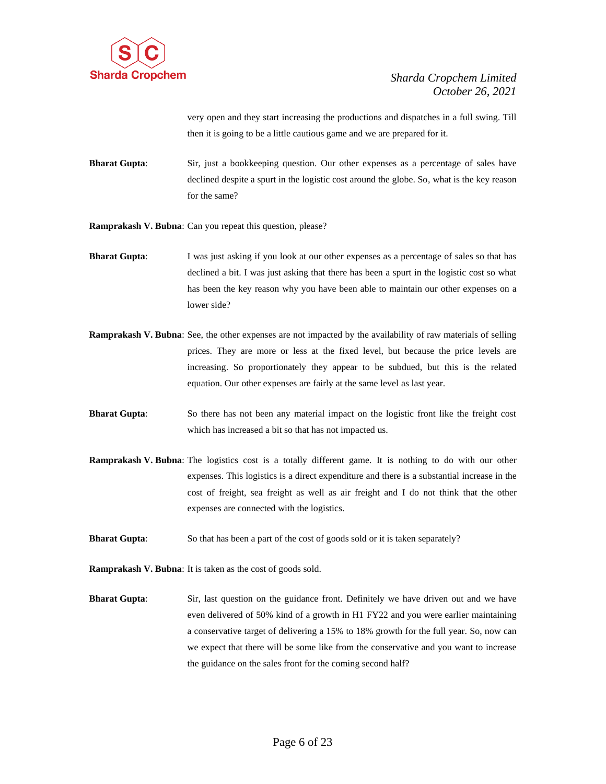

very open and they start increasing the productions and dispatches in a full swing. Till then it is going to be a little cautious game and we are prepared for it.

**Bharat Gupta**: Sir, just a bookkeeping question. Our other expenses as a percentage of sales have declined despite a spurt in the logistic cost around the globe. So, what is the key reason for the same?

**Ramprakash V. Bubna**: Can you repeat this question, please?

- **Bharat Gupta:** I was just asking if you look at our other expenses as a percentage of sales so that has declined a bit. I was just asking that there has been a spurt in the logistic cost so what has been the key reason why you have been able to maintain our other expenses on a lower side?
- **Ramprakash V. Bubna**: See, the other expenses are not impacted by the availability of raw materials of selling prices. They are more or less at the fixed level, but because the price levels are increasing. So proportionately they appear to be subdued, but this is the related equation. Our other expenses are fairly at the same level as last year.
- **Bharat Gupta**: So there has not been any material impact on the logistic front like the freight cost which has increased a bit so that has not impacted us.
- **Ramprakash V. Bubna**: The logistics cost is a totally different game. It is nothing to do with our other expenses. This logistics is a direct expenditure and there is a substantial increase in the cost of freight, sea freight as well as air freight and I do not think that the other expenses are connected with the logistics.
- **Bharat Gupta:** So that has been a part of the cost of goods sold or it is taken separately?

**Ramprakash V. Bubna**: It is taken as the cost of goods sold.

**Bharat Gupta:** Sir, last question on the guidance front. Definitely we have driven out and we have even delivered of 50% kind of a growth in H1 FY22 and you were earlier maintaining a conservative target of delivering a 15% to 18% growth for the full year. So, now can we expect that there will be some like from the conservative and you want to increase the guidance on the sales front for the coming second half?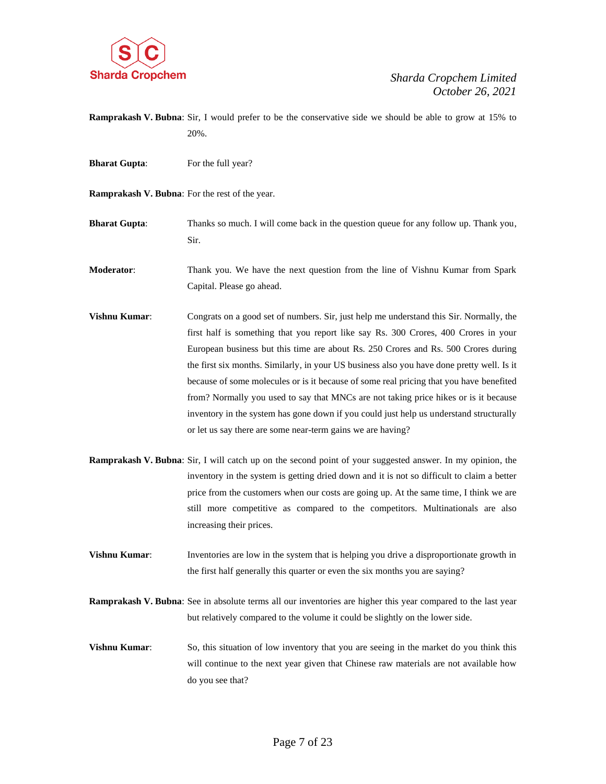

- **Ramprakash V. Bubna**: Sir, I would prefer to be the conservative side we should be able to grow at 15% to 20%.
- **Bharat Gupta:** For the full year?
- **Ramprakash V. Bubna**: For the rest of the year.

**Bharat Gupta:** Thanks so much. I will come back in the question queue for any follow up. Thank you, Sir.

**Moderator**: Thank you. We have the next question from the line of Vishnu Kumar from Spark Capital. Please go ahead.

- **Vishnu Kumar:** Congrats on a good set of numbers. Sir, just help me understand this Sir. Normally, the first half is something that you report like say Rs. 300 Crores, 400 Crores in your European business but this time are about Rs. 250 Crores and Rs. 500 Crores during the first six months. Similarly, in your US business also you have done pretty well. Is it because of some molecules or is it because of some real pricing that you have benefited from? Normally you used to say that MNCs are not taking price hikes or is it because inventory in the system has gone down if you could just help us understand structurally or let us say there are some near-term gains we are having?
- **Ramprakash V. Bubna**: Sir, I will catch up on the second point of your suggested answer. In my opinion, the inventory in the system is getting dried down and it is not so difficult to claim a better price from the customers when our costs are going up. At the same time, I think we are still more competitive as compared to the competitors. Multinationals are also increasing their prices.
- **Vishnu Kumar:** Inventories are low in the system that is helping you drive a disproportionate growth in the first half generally this quarter or even the six months you are saying?
- **Ramprakash V. Bubna**: See in absolute terms all our inventories are higher this year compared to the last year but relatively compared to the volume it could be slightly on the lower side.
- **Vishnu Kumar:** So, this situation of low inventory that you are seeing in the market do you think this will continue to the next year given that Chinese raw materials are not available how do you see that?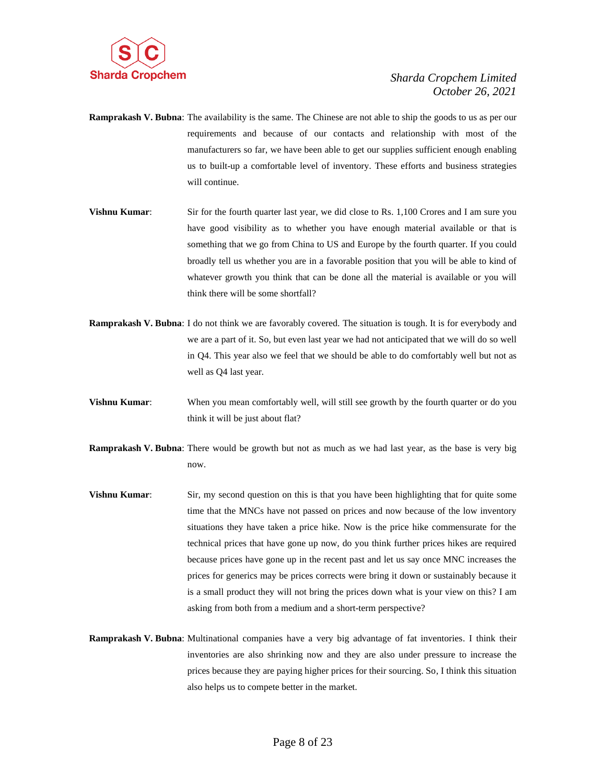

- **Ramprakash V. Bubna**: The availability is the same. The Chinese are not able to ship the goods to us as per our requirements and because of our contacts and relationship with most of the manufacturers so far, we have been able to get our supplies sufficient enough enabling us to built-up a comfortable level of inventory. These efforts and business strategies will continue.
- **Vishnu Kumar:** Sir for the fourth quarter last year, we did close to Rs. 1,100 Crores and I am sure you have good visibility as to whether you have enough material available or that is something that we go from China to US and Europe by the fourth quarter. If you could broadly tell us whether you are in a favorable position that you will be able to kind of whatever growth you think that can be done all the material is available or you will think there will be some shortfall?
- **Ramprakash V. Bubna**: I do not think we are favorably covered. The situation is tough. It is for everybody and we are a part of it. So, but even last year we had not anticipated that we will do so well in Q4. This year also we feel that we should be able to do comfortably well but not as well as Q4 last year.
- **Vishnu Kumar**: When you mean comfortably well, will still see growth by the fourth quarter or do you think it will be just about flat?
- **Ramprakash V. Bubna**: There would be growth but not as much as we had last year, as the base is very big now.
- **Vishnu Kumar:** Sir, my second question on this is that you have been highlighting that for quite some time that the MNCs have not passed on prices and now because of the low inventory situations they have taken a price hike. Now is the price hike commensurate for the technical prices that have gone up now, do you think further prices hikes are required because prices have gone up in the recent past and let us say once MNC increases the prices for generics may be prices corrects were bring it down or sustainably because it is a small product they will not bring the prices down what is your view on this? I am asking from both from a medium and a short-term perspective?
- **Ramprakash V. Bubna**: Multinational companies have a very big advantage of fat inventories. I think their inventories are also shrinking now and they are also under pressure to increase the prices because they are paying higher prices for their sourcing. So, I think this situation also helps us to compete better in the market.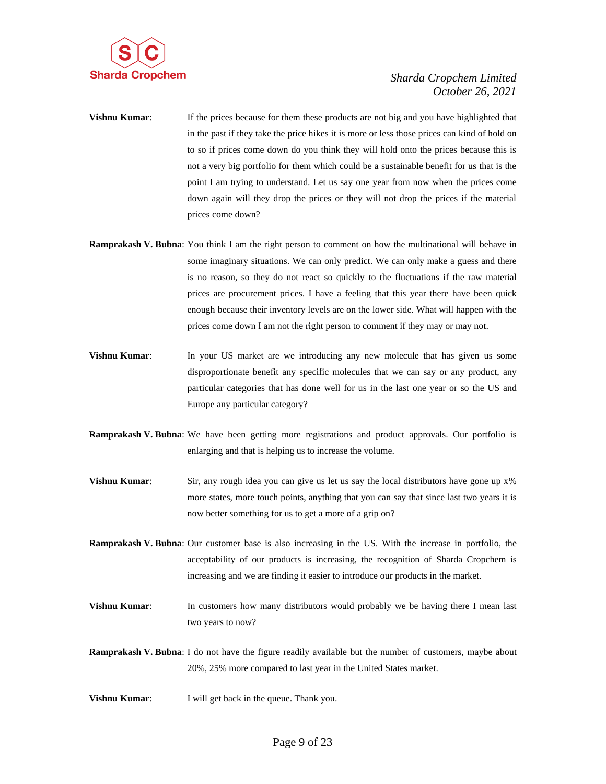

- **Vishnu Kumar:** If the prices because for them these products are not big and you have highlighted that in the past if they take the price hikes it is more or less those prices can kind of hold on to so if prices come down do you think they will hold onto the prices because this is not a very big portfolio for them which could be a sustainable benefit for us that is the point I am trying to understand. Let us say one year from now when the prices come down again will they drop the prices or they will not drop the prices if the material prices come down?
- **Ramprakash V. Bubna**: You think I am the right person to comment on how the multinational will behave in some imaginary situations. We can only predict. We can only make a guess and there is no reason, so they do not react so quickly to the fluctuations if the raw material prices are procurement prices. I have a feeling that this year there have been quick enough because their inventory levels are on the lower side. What will happen with the prices come down I am not the right person to comment if they may or may not.
- **Vishnu Kumar:** In your US market are we introducing any new molecule that has given us some disproportionate benefit any specific molecules that we can say or any product, any particular categories that has done well for us in the last one year or so the US and Europe any particular category?
- **Ramprakash V. Bubna**: We have been getting more registrations and product approvals. Our portfolio is enlarging and that is helping us to increase the volume.
- **Vishnu Kumar:** Sir, any rough idea you can give us let us say the local distributors have gone up x% more states, more touch points, anything that you can say that since last two years it is now better something for us to get a more of a grip on?
- **Ramprakash V. Bubna**: Our customer base is also increasing in the US. With the increase in portfolio, the acceptability of our products is increasing, the recognition of Sharda Cropchem is increasing and we are finding it easier to introduce our products in the market.
- **Vishnu Kumar:** In customers how many distributors would probably we be having there I mean last two years to now?
- **Ramprakash V. Bubna**: I do not have the figure readily available but the number of customers, maybe about 20%, 25% more compared to last year in the United States market.
- **Vishnu Kumar:** I will get back in the queue. Thank you.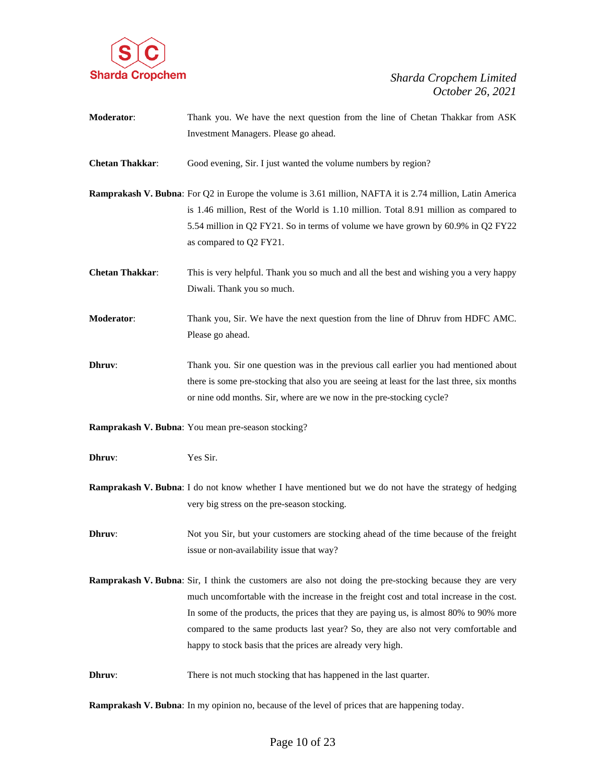

| Moderator:             | Thank you. We have the next question from the line of Chetan Thakkar from ASK                                    |  |  |
|------------------------|------------------------------------------------------------------------------------------------------------------|--|--|
|                        | Investment Managers. Please go ahead.                                                                            |  |  |
|                        |                                                                                                                  |  |  |
| <b>Chetan Thakkar:</b> | Good evening, Sir. I just wanted the volume numbers by region?                                                   |  |  |
|                        |                                                                                                                  |  |  |
|                        | <b>Ramprakash V. Bubna:</b> For Q2 in Europe the volume is 3.61 million, NAFTA it is 2.74 million, Latin America |  |  |
|                        | is 1.46 million, Rest of the World is 1.10 million. Total 8.91 million as compared to                            |  |  |
|                        | 5.54 million in Q2 FY21. So in terms of volume we have grown by 60.9% in Q2 FY22                                 |  |  |
|                        | as compared to Q2 FY21.                                                                                          |  |  |
|                        |                                                                                                                  |  |  |
| <b>Chetan Thakkar:</b> | This is very helpful. Thank you so much and all the best and wishing you a very happy                            |  |  |
|                        | Diwali. Thank you so much.                                                                                       |  |  |
|                        |                                                                                                                  |  |  |
| <b>Moderator:</b>      | Thank you, Sir. We have the next question from the line of Dhruv from HDFC AMC.                                  |  |  |
|                        | Please go ahead.                                                                                                 |  |  |
|                        |                                                                                                                  |  |  |
| Dhruv:                 | Thank you. Sir one question was in the previous call earlier you had mentioned about                             |  |  |
|                        | there is some pre-stocking that also you are seeing at least for the last three, six months                      |  |  |
|                        | or nine odd months. Sir, where are we now in the pre-stocking cycle?                                             |  |  |
|                        |                                                                                                                  |  |  |
|                        |                                                                                                                  |  |  |
|                        | Ramprakash V. Bubna: You mean pre-season stocking?                                                               |  |  |
|                        |                                                                                                                  |  |  |
| Dhruv:                 | Yes Sir.                                                                                                         |  |  |
|                        |                                                                                                                  |  |  |
|                        | <b>Ramprakash V. Bubna:</b> I do not know whether I have mentioned but we do not have the strategy of hedging    |  |  |
|                        | very big stress on the pre-season stocking.                                                                      |  |  |
|                        |                                                                                                                  |  |  |
| Dhruv:                 | Not you Sir, but your customers are stocking ahead of the time because of the freight                            |  |  |
|                        | issue or non-availability issue that way?                                                                        |  |  |
|                        | <b>Ramprakash V. Bubna:</b> Sir, I think the customers are also not doing the pre-stocking because they are very |  |  |
|                        | much uncomfortable with the increase in the freight cost and total increase in the cost.                         |  |  |
|                        | In some of the products, the prices that they are paying us, is almost 80% to 90% more                           |  |  |
|                        | compared to the same products last year? So, they are also not very comfortable and                              |  |  |
|                        | happy to stock basis that the prices are already very high.                                                      |  |  |
|                        |                                                                                                                  |  |  |
| Dhruv:                 | There is not much stocking that has happened in the last quarter.                                                |  |  |
|                        |                                                                                                                  |  |  |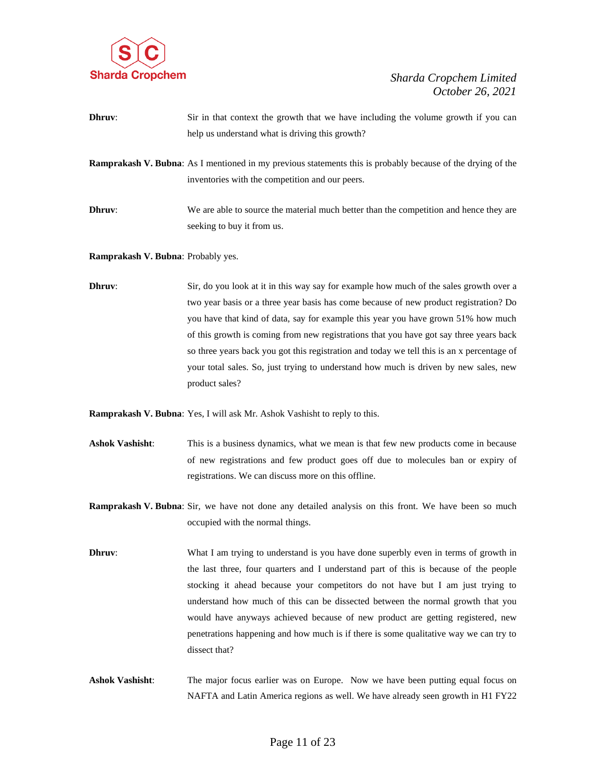

| Dhruv: | Sir in that context the growth that we have including the volume growth if you can                                                                                    |
|--------|-----------------------------------------------------------------------------------------------------------------------------------------------------------------------|
|        | help us understand what is driving this growth?                                                                                                                       |
|        | <b>Ramprakash V. Bubna:</b> As I mentioned in my previous statements this is probably because of the drying of the<br>inventories with the competition and our peers. |

**Dhruv:** We are able to source the material much better than the competition and hence they are seeking to buy it from us.

**Ramprakash V. Bubna**: Probably yes.

**Dhruv:** Sir, do you look at it in this way say for example how much of the sales growth over a two year basis or a three year basis has come because of new product registration? Do you have that kind of data, say for example this year you have grown 51% how much of this growth is coming from new registrations that you have got say three years back so three years back you got this registration and today we tell this is an x percentage of your total sales. So, just trying to understand how much is driven by new sales, new product sales?

**Ramprakash V. Bubna**: Yes, I will ask Mr. Ashok Vashisht to reply to this.

- **Ashok Vashisht**: This is a business dynamics, what we mean is that few new products come in because of new registrations and few product goes off due to molecules ban or expiry of registrations. We can discuss more on this offline.
- **Ramprakash V. Bubna**: Sir, we have not done any detailed analysis on this front. We have been so much occupied with the normal things.
- **Dhruv:** What I am trying to understand is you have done superbly even in terms of growth in the last three, four quarters and I understand part of this is because of the people stocking it ahead because your competitors do not have but I am just trying to understand how much of this can be dissected between the normal growth that you would have anyways achieved because of new product are getting registered, new penetrations happening and how much is if there is some qualitative way we can try to dissect that?
- **Ashok Vashisht**: The major focus earlier was on Europe. Now we have been putting equal focus on NAFTA and Latin America regions as well. We have already seen growth in H1 FY22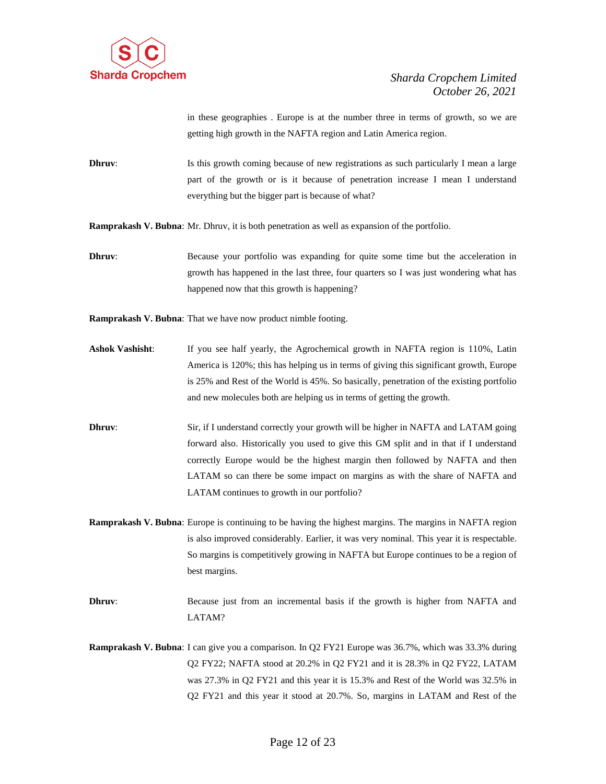

in these geographies . Europe is at the number three in terms of growth, so we are getting high growth in the NAFTA region and Latin America region.

**Dhruv:** Is this growth coming because of new registrations as such particularly I mean a large part of the growth or is it because of penetration increase I mean I understand everything but the bigger part is because of what?

**Ramprakash V. Bubna**: Mr. Dhruv, it is both penetration as well as expansion of the portfolio.

**Dhruv:** Because your portfolio was expanding for quite some time but the acceleration in growth has happened in the last three, four quarters so I was just wondering what has happened now that this growth is happening?

**Ramprakash V. Bubna**: That we have now product nimble footing.

- **Ashok Vashisht**: If you see half yearly, the Agrochemical growth in NAFTA region is 110%, Latin America is 120%; this has helping us in terms of giving this significant growth, Europe is 25% and Rest of the World is 45%. So basically, penetration of the existing portfolio and new molecules both are helping us in terms of getting the growth.
- **Dhruv:** Sir, if I understand correctly your growth will be higher in NAFTA and LATAM going forward also. Historically you used to give this GM split and in that if I understand correctly Europe would be the highest margin then followed by NAFTA and then LATAM so can there be some impact on margins as with the share of NAFTA and LATAM continues to growth in our portfolio?
- **Ramprakash V. Bubna**: Europe is continuing to be having the highest margins. The margins in NAFTA region is also improved considerably. Earlier, it was very nominal. This year it is respectable. So margins is competitively growing in NAFTA but Europe continues to be a region of best margins.
- **Dhruv:** Because just from an incremental basis if the growth is higher from NAFTA and LATAM?
- **Ramprakash V. Bubna**: I can give you a comparison. In Q2 FY21 Europe was 36.7%, which was 33.3% during Q2 FY22; NAFTA stood at 20.2% in Q2 FY21 and it is 28.3% in Q2 FY22, LATAM was 27.3% in Q2 FY21 and this year it is 15.3% and Rest of the World was 32.5% in Q2 FY21 and this year it stood at 20.7%. So, margins in LATAM and Rest of the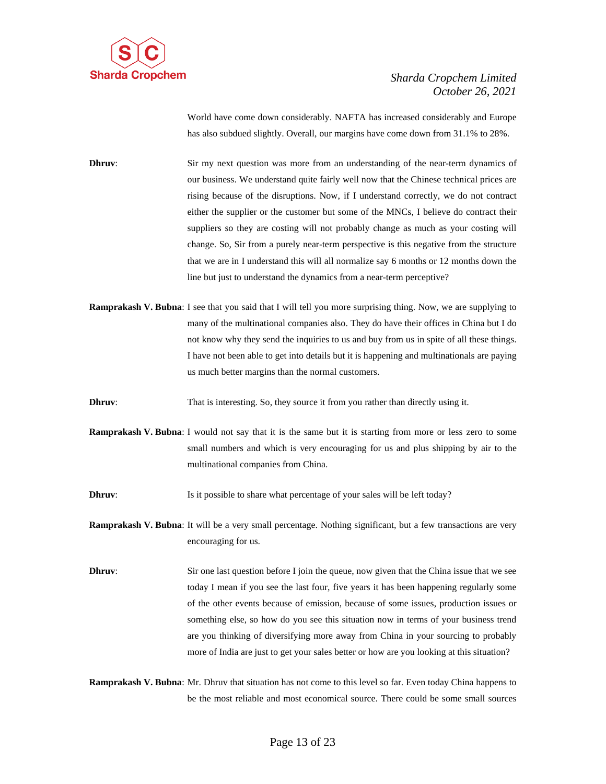

World have come down considerably. NAFTA has increased considerably and Europe has also subdued slightly. Overall, our margins have come down from 31.1% to 28%.

**Dhruv**: Sir my next question was more from an understanding of the near-term dynamics of our business. We understand quite fairly well now that the Chinese technical prices are rising because of the disruptions. Now, if I understand correctly, we do not contract either the supplier or the customer but some of the MNCs, I believe do contract their suppliers so they are costing will not probably change as much as your costing will change. So, Sir from a purely near-term perspective is this negative from the structure that we are in I understand this will all normalize say 6 months or 12 months down the line but just to understand the dynamics from a near-term perceptive?

- **Ramprakash V. Bubna**: I see that you said that I will tell you more surprising thing. Now, we are supplying to many of the multinational companies also. They do have their offices in China but I do not know why they send the inquiries to us and buy from us in spite of all these things. I have not been able to get into details but it is happening and multinationals are paying us much better margins than the normal customers.
- **Dhruv:** That is interesting. So, they source it from you rather than directly using it.
- **Ramprakash V. Bubna**: I would not say that it is the same but it is starting from more or less zero to some small numbers and which is very encouraging for us and plus shipping by air to the multinational companies from China.
- **Dhruv:** Is it possible to share what percentage of your sales will be left today?
- **Ramprakash V. Bubna**: It will be a very small percentage. Nothing significant, but a few transactions are very encouraging for us.
- **Dhruv:** Sir one last question before I join the queue, now given that the China issue that we see today I mean if you see the last four, five years it has been happening regularly some of the other events because of emission, because of some issues, production issues or something else, so how do you see this situation now in terms of your business trend are you thinking of diversifying more away from China in your sourcing to probably more of India are just to get your sales better or how are you looking at this situation?

**Ramprakash V. Bubna**: Mr. Dhruv that situation has not come to this level so far. Even today China happens to be the most reliable and most economical source. There could be some small sources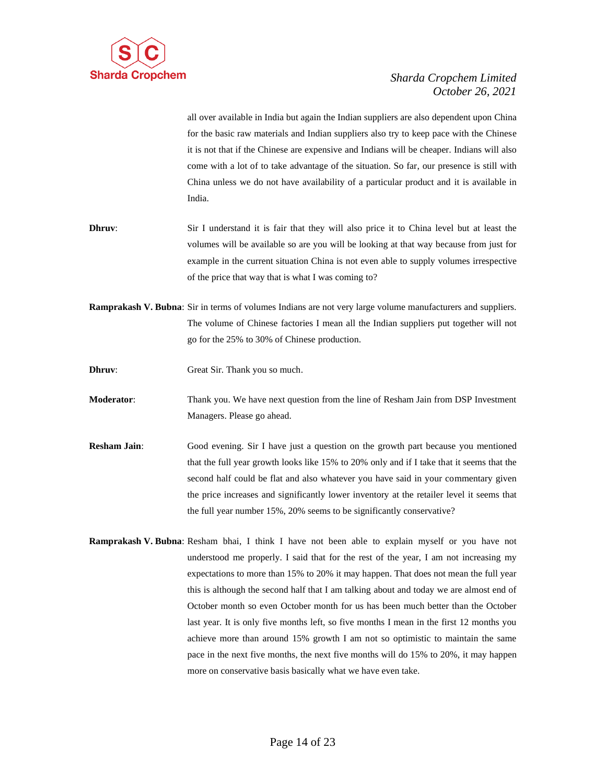

all over available in India but again the Indian suppliers are also dependent upon China for the basic raw materials and Indian suppliers also try to keep pace with the Chinese it is not that if the Chinese are expensive and Indians will be cheaper. Indians will also come with a lot of to take advantage of the situation. So far, our presence is still with China unless we do not have availability of a particular product and it is available in India.

- **Dhruv:** Sir I understand it is fair that they will also price it to China level but at least the volumes will be available so are you will be looking at that way because from just for example in the current situation China is not even able to supply volumes irrespective of the price that way that is what I was coming to?
- **Ramprakash V. Bubna**: Sir in terms of volumes Indians are not very large volume manufacturers and suppliers. The volume of Chinese factories I mean all the Indian suppliers put together will not go for the 25% to 30% of Chinese production.
- **Dhruv:** Great Sir. Thank you so much.
- **Moderator**: Thank you. We have next question from the line of Resham Jain from DSP Investment Managers. Please go ahead.
- **Resham Jain**: Good evening. Sir I have just a question on the growth part because you mentioned that the full year growth looks like 15% to 20% only and if I take that it seems that the second half could be flat and also whatever you have said in your commentary given the price increases and significantly lower inventory at the retailer level it seems that the full year number 15%, 20% seems to be significantly conservative?
- **Ramprakash V. Bubna**: Resham bhai, I think I have not been able to explain myself or you have not understood me properly. I said that for the rest of the year, I am not increasing my expectations to more than 15% to 20% it may happen. That does not mean the full year this is although the second half that I am talking about and today we are almost end of October month so even October month for us has been much better than the October last year. It is only five months left, so five months I mean in the first 12 months you achieve more than around 15% growth I am not so optimistic to maintain the same pace in the next five months, the next five months will do 15% to 20%, it may happen more on conservative basis basically what we have even take.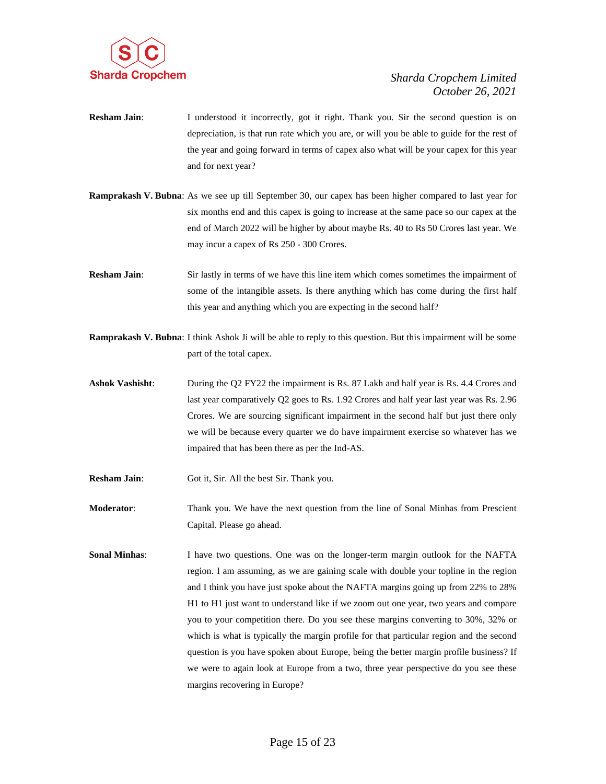

- **Resham Jain:** I understood it incorrectly, got it right. Thank you. Sir the second question is on depreciation, is that run rate which you are, or will you be able to guide for the rest of the year and going forward in terms of capex also what will be your capex for this year and for next year?
- **Ramprakash V. Bubna**: As we see up till September 30, our capex has been higher compared to last year for six months end and this capex is going to increase at the same pace so our capex at the end of March 2022 will be higher by about maybe Rs. 40 to Rs 50 Crores last year. We may incur a capex of Rs 250 - 300 Crores.
- **Resham Jain:** Sir lastly in terms of we have this line item which comes sometimes the impairment of some of the intangible assets. Is there anything which has come during the first half this year and anything which you are expecting in the second half?
- **Ramprakash V. Bubna**: I think Ashok Ji will be able to reply to this question. But this impairment will be some part of the total capex.
- **Ashok Vashisht**: During the Q2 FY22 the impairment is Rs. 87 Lakh and half year is Rs. 4.4 Crores and last year comparatively Q2 goes to Rs. 1.92 Crores and half year last year was Rs. 2.96 Crores. We are sourcing significant impairment in the second half but just there only we will be because every quarter we do have impairment exercise so whatever has we impaired that has been there as per the Ind-AS.
- **Resham Jain**: Got it, Sir. All the best Sir. Thank you.
- **Moderator**: Thank you. We have the next question from the line of Sonal Minhas from Prescient Capital. Please go ahead.
- **Sonal Minhas**: I have two questions. One was on the longer-term margin outlook for the NAFTA region. I am assuming, as we are gaining scale with double your topline in the region and I think you have just spoke about the NAFTA margins going up from 22% to 28% H1 to H1 just want to understand like if we zoom out one year, two years and compare you to your competition there. Do you see these margins converting to 30%, 32% or which is what is typically the margin profile for that particular region and the second question is you have spoken about Europe, being the better margin profile business? If we were to again look at Europe from a two, three year perspective do you see these margins recovering in Europe?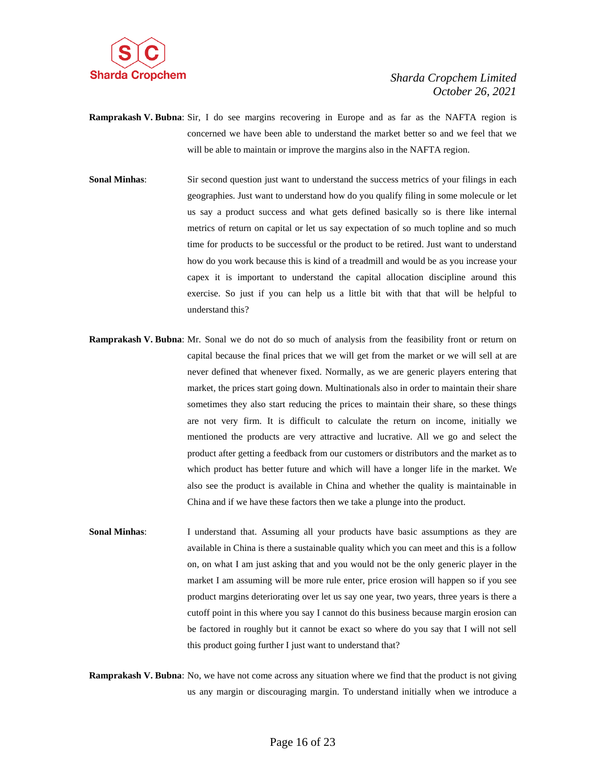

- **Ramprakash V. Bubna**: Sir, I do see margins recovering in Europe and as far as the NAFTA region is concerned we have been able to understand the market better so and we feel that we will be able to maintain or improve the margins also in the NAFTA region.
- **Sonal Minhas:** Sir second question just want to understand the success metrics of your filings in each geographies. Just want to understand how do you qualify filing in some molecule or let us say a product success and what gets defined basically so is there like internal metrics of return on capital or let us say expectation of so much topline and so much time for products to be successful or the product to be retired. Just want to understand how do you work because this is kind of a treadmill and would be as you increase your capex it is important to understand the capital allocation discipline around this exercise. So just if you can help us a little bit with that that will be helpful to understand this?
- **Ramprakash V. Bubna**: Mr. Sonal we do not do so much of analysis from the feasibility front or return on capital because the final prices that we will get from the market or we will sell at are never defined that whenever fixed. Normally, as we are generic players entering that market, the prices start going down. Multinationals also in order to maintain their share sometimes they also start reducing the prices to maintain their share, so these things are not very firm. It is difficult to calculate the return on income, initially we mentioned the products are very attractive and lucrative. All we go and select the product after getting a feedback from our customers or distributors and the market as to which product has better future and which will have a longer life in the market. We also see the product is available in China and whether the quality is maintainable in China and if we have these factors then we take a plunge into the product.
- **Sonal Minhas**: I understand that. Assuming all your products have basic assumptions as they are available in China is there a sustainable quality which you can meet and this is a follow on, on what I am just asking that and you would not be the only generic player in the market I am assuming will be more rule enter, price erosion will happen so if you see product margins deteriorating over let us say one year, two years, three years is there a cutoff point in this where you say I cannot do this business because margin erosion can be factored in roughly but it cannot be exact so where do you say that I will not sell this product going further I just want to understand that?

**Ramprakash V. Bubna**: No, we have not come across any situation where we find that the product is not giving us any margin or discouraging margin. To understand initially when we introduce a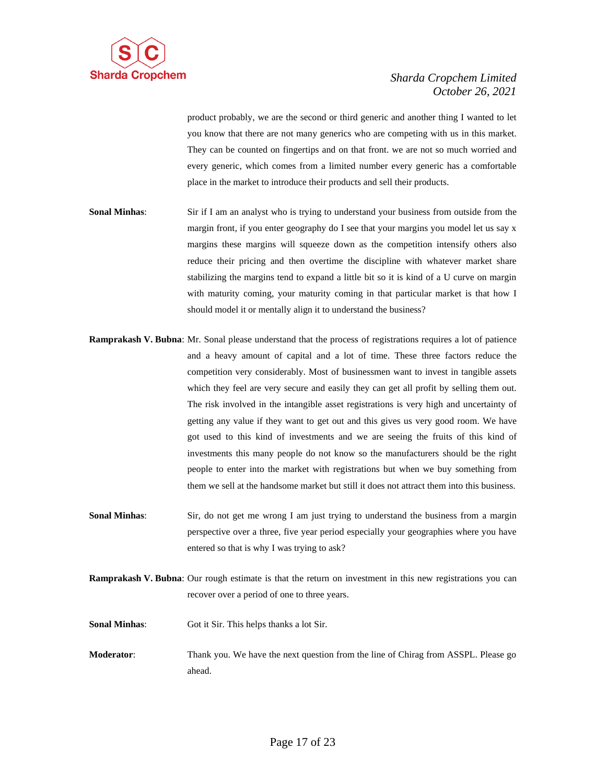

product probably, we are the second or third generic and another thing I wanted to let you know that there are not many generics who are competing with us in this market. They can be counted on fingertips and on that front. we are not so much worried and every generic, which comes from a limited number every generic has a comfortable place in the market to introduce their products and sell their products.

- **Sonal Minhas**: Sir if I am an analyst who is trying to understand your business from outside from the margin front, if you enter geography do I see that your margins you model let us say x margins these margins will squeeze down as the competition intensify others also reduce their pricing and then overtime the discipline with whatever market share stabilizing the margins tend to expand a little bit so it is kind of a U curve on margin with maturity coming, your maturity coming in that particular market is that how I should model it or mentally align it to understand the business?
- **Ramprakash V. Bubna**: Mr. Sonal please understand that the process of registrations requires a lot of patience and a heavy amount of capital and a lot of time. These three factors reduce the competition very considerably. Most of businessmen want to invest in tangible assets which they feel are very secure and easily they can get all profit by selling them out. The risk involved in the intangible asset registrations is very high and uncertainty of getting any value if they want to get out and this gives us very good room. We have got used to this kind of investments and we are seeing the fruits of this kind of investments this many people do not know so the manufacturers should be the right people to enter into the market with registrations but when we buy something from them we sell at the handsome market but still it does not attract them into this business.
- **Sonal Minhas:** Sir, do not get me wrong I am just trying to understand the business from a margin perspective over a three, five year period especially your geographies where you have entered so that is why I was trying to ask?
- **Ramprakash V. Bubna**: Our rough estimate is that the return on investment in this new registrations you can recover over a period of one to three years.
- **Sonal Minhas**: Got it Sir. This helps thanks a lot Sir.
- **Moderator**: Thank you. We have the next question from the line of Chirag from ASSPL. Please go ahead.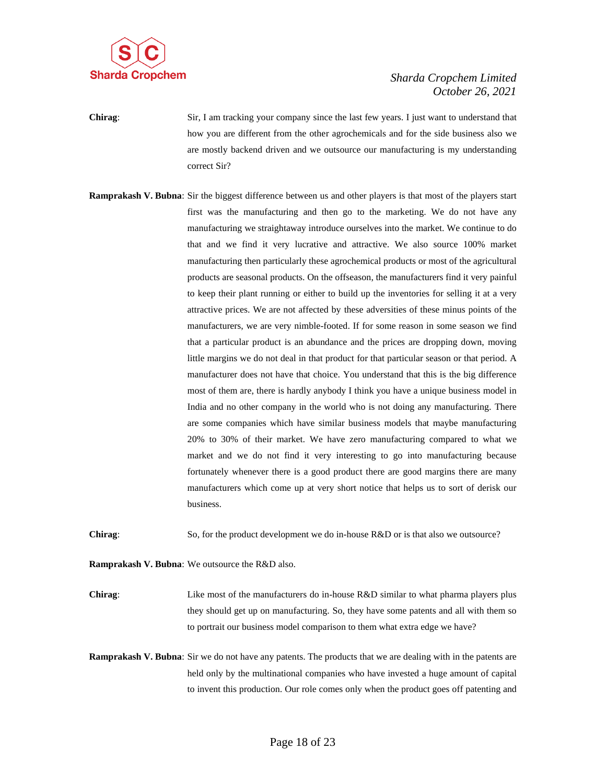

**Chirag**: Sir, I am tracking your company since the last few years. I just want to understand that how you are different from the other agrochemicals and for the side business also we are mostly backend driven and we outsource our manufacturing is my understanding correct Sir?

**Ramprakash V. Bubna**: Sir the biggest difference between us and other players is that most of the players start first was the manufacturing and then go to the marketing. We do not have any manufacturing we straightaway introduce ourselves into the market. We continue to do that and we find it very lucrative and attractive. We also source 100% market manufacturing then particularly these agrochemical products or most of the agricultural products are seasonal products. On the offseason, the manufacturers find it very painful to keep their plant running or either to build up the inventories for selling it at a very attractive prices. We are not affected by these adversities of these minus points of the manufacturers, we are very nimble-footed. If for some reason in some season we find that a particular product is an abundance and the prices are dropping down, moving little margins we do not deal in that product for that particular season or that period. A manufacturer does not have that choice. You understand that this is the big difference most of them are, there is hardly anybody I think you have a unique business model in India and no other company in the world who is not doing any manufacturing. There are some companies which have similar business models that maybe manufacturing 20% to 30% of their market. We have zero manufacturing compared to what we market and we do not find it very interesting to go into manufacturing because fortunately whenever there is a good product there are good margins there are many manufacturers which come up at very short notice that helps us to sort of derisk our business.

**Chirag:** So, for the product development we do in-house R&D or is that also we outsource?

**Ramprakash V. Bubna**: We outsource the R&D also.

**Chirag:** Like most of the manufacturers do in-house R&D similar to what pharma players plus they should get up on manufacturing. So, they have some patents and all with them so to portrait our business model comparison to them what extra edge we have?

**Ramprakash V. Bubna**: Sir we do not have any patents. The products that we are dealing with in the patents are held only by the multinational companies who have invested a huge amount of capital to invent this production. Our role comes only when the product goes off patenting and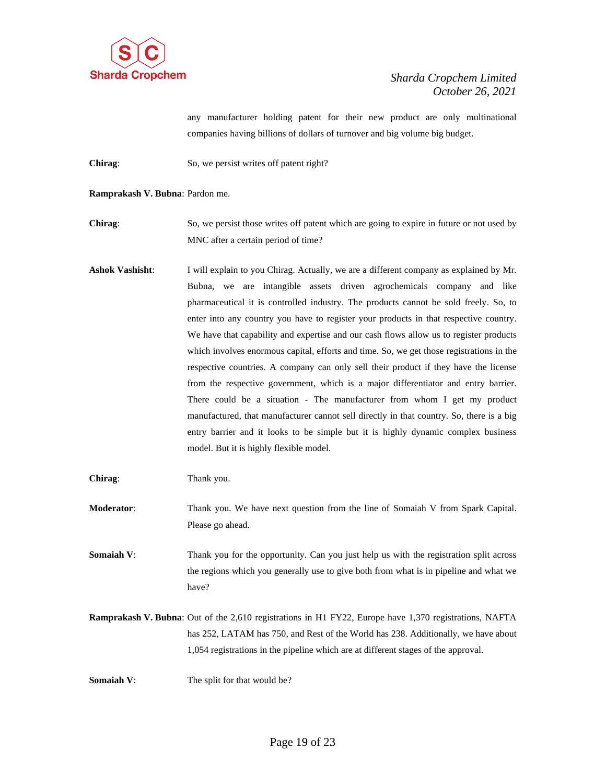

any manufacturer holding patent for their new product are only multinational companies having billions of dollars of turnover and big volume big budget.

- **Chirag:** So, we persist writes off patent right?
- **Ramprakash V. Bubna**: Pardon me.

**Chirag:** So, we persist those writes off patent which are going to expire in future or not used by MNC after a certain period of time?

**Ashok Vashisht**: I will explain to you Chirag. Actually, we are a different company as explained by Mr. Bubna, we are intangible assets driven agrochemicals company and like pharmaceutical it is controlled industry. The products cannot be sold freely. So, to enter into any country you have to register your products in that respective country. We have that capability and expertise and our cash flows allow us to register products which involves enormous capital, efforts and time. So, we get those registrations in the respective countries. A company can only sell their product if they have the license from the respective government, which is a major differentiator and entry barrier. There could be a situation - The manufacturer from whom I get my product manufactured, that manufacturer cannot sell directly in that country. So, there is a big entry barrier and it looks to be simple but it is highly dynamic complex business model. But it is highly flexible model.

**Chirag**: Thank you.

- **Moderator**: Thank you. We have next question from the line of Somaiah V from Spark Capital. Please go ahead.
- **Somaiah V:** Thank you for the opportunity. Can you just help us with the registration split across the regions which you generally use to give both from what is in pipeline and what we have?
- **Ramprakash V. Bubna**: Out of the 2,610 registrations in H1 FY22, Europe have 1,370 registrations, NAFTA has 252, LATAM has 750, and Rest of the World has 238. Additionally, we have about 1,054 registrations in the pipeline which are at different stages of the approval.

**Somaiah V:** The split for that would be?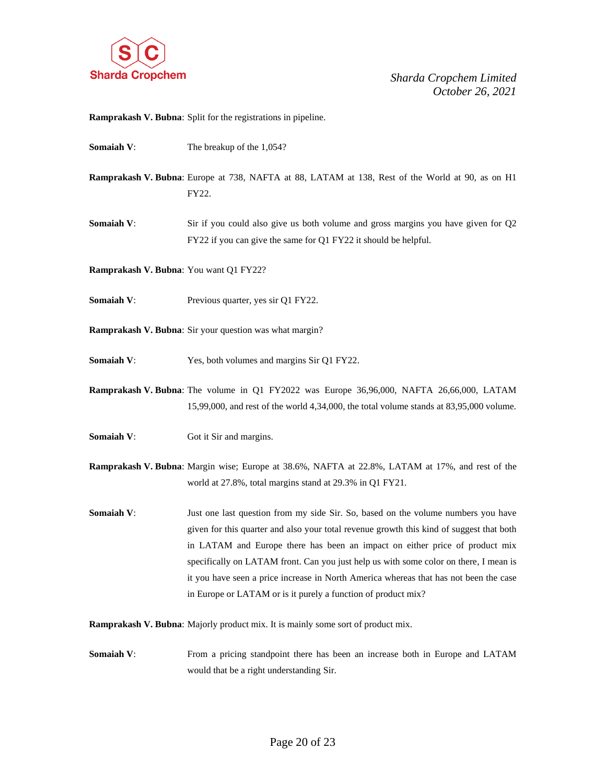

**Ramprakash V. Bubna**: Split for the registrations in pipeline.

- **Somaiah V:** The breakup of the 1,054?
- **Ramprakash V. Bubna**: Europe at 738, NAFTA at 88, LATAM at 138, Rest of the World at 90, as on H1 FY22.
- **Somaiah V:** Sir if you could also give us both volume and gross margins you have given for Q2 FY22 if you can give the same for Q1 FY22 it should be helpful.
- **Ramprakash V. Bubna**: You want Q1 FY22?
- **Somaiah V:** Previous quarter, yes sir Q1 FY22.
- **Ramprakash V. Bubna**: Sir your question was what margin?
- **Somaiah V:** Yes, both volumes and margins Sir Q1 FY22.
- **Ramprakash V. Bubna**: The volume in Q1 FY2022 was Europe 36,96,000, NAFTA 26,66,000, LATAM 15,99,000, and rest of the world 4,34,000, the total volume stands at 83,95,000 volume.
- **Somaiah V:** Got it Sir and margins.
- **Ramprakash V. Bubna**: Margin wise; Europe at 38.6%, NAFTA at 22.8%, LATAM at 17%, and rest of the world at 27.8%, total margins stand at 29.3% in Q1 FY21.
- **Somaiah V:** Just one last question from my side Sir. So, based on the volume numbers you have given for this quarter and also your total revenue growth this kind of suggest that both in LATAM and Europe there has been an impact on either price of product mix specifically on LATAM front. Can you just help us with some color on there, I mean is it you have seen a price increase in North America whereas that has not been the case in Europe or LATAM or is it purely a function of product mix?

**Ramprakash V. Bubna**: Majorly product mix. It is mainly some sort of product mix.

**Somaiah V:** From a pricing standpoint there has been an increase both in Europe and LATAM would that be a right understanding Sir.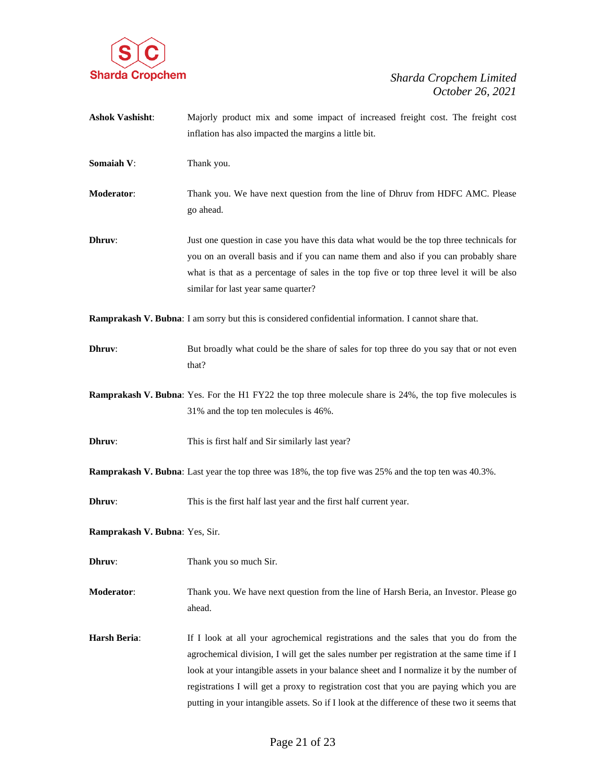

**Ashok Vashisht**: Majorly product mix and some impact of increased freight cost. The freight cost inflation has also impacted the margins a little bit. **Somaiah V:** Thank you. **Moderator**: Thank you. We have next question from the line of Dhruv from HDFC AMC. Please go ahead. **Dhruv:** Just one question in case you have this data what would be the top three technicals for you on an overall basis and if you can name them and also if you can probably share what is that as a percentage of sales in the top five or top three level it will be also similar for last year same quarter? **Ramprakash V. Bubna**: I am sorry but this is considered confidential information. I cannot share that. **Dhruv:** But broadly what could be the share of sales for top three do you say that or not even that? **Ramprakash V. Bubna**: Yes. For the H1 FY22 the top three molecule share is 24%, the top five molecules is 31% and the top ten molecules is 46%. **Dhruv:** This is first half and Sir similarly last year? **Ramprakash V. Bubna**: Last year the top three was 18%, the top five was 25% and the top ten was 40.3%. **Dhruv:** This is the first half last year and the first half current year. **Ramprakash V. Bubna**: Yes, Sir. **Dhruv:** Thank you so much Sir. **Moderator**: Thank you. We have next question from the line of Harsh Beria, an Investor. Please go ahead. **Harsh Beria:** If I look at all your agrochemical registrations and the sales that you do from the agrochemical division, I will get the sales number per registration at the same time if I look at your intangible assets in your balance sheet and I normalize it by the number of registrations I will get a proxy to registration cost that you are paying which you are putting in your intangible assets. So if I look at the difference of these two it seems that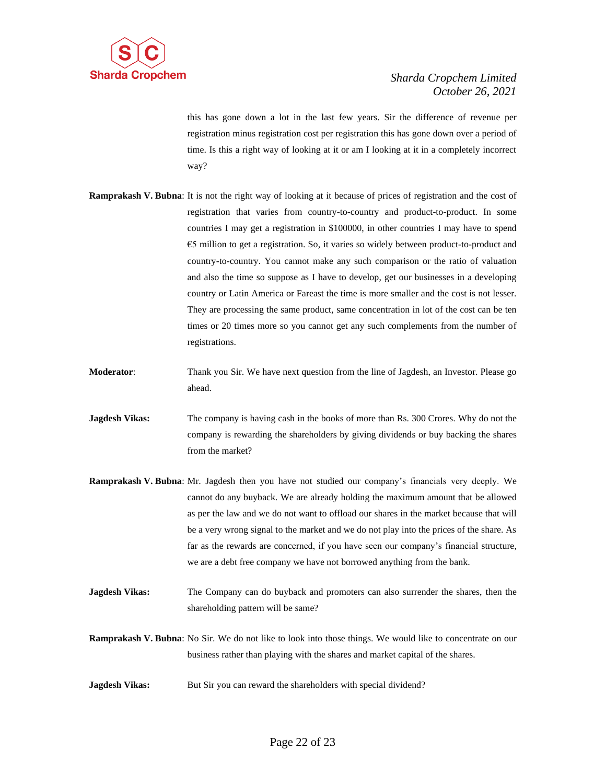

this has gone down a lot in the last few years. Sir the difference of revenue per registration minus registration cost per registration this has gone down over a period of time. Is this a right way of looking at it or am I looking at it in a completely incorrect way?

- **Ramprakash V. Bubna**: It is not the right way of looking at it because of prices of registration and the cost of registration that varies from country-to-country and product-to-product. In some countries I may get a registration in \$100000, in other countries I may have to spend €5 million to get a registration. So, it varies so widely between product-to-product and country-to-country. You cannot make any such comparison or the ratio of valuation and also the time so suppose as I have to develop, get our businesses in a developing country or Latin America or Fareast the time is more smaller and the cost is not lesser. They are processing the same product, same concentration in lot of the cost can be ten times or 20 times more so you cannot get any such complements from the number of registrations.
- **Moderator**: Thank you Sir. We have next question from the line of Jagdesh, an Investor. Please go ahead.
- **Jagdesh Vikas:** The company is having cash in the books of more than Rs. 300 Crores. Why do not the company is rewarding the shareholders by giving dividends or buy backing the shares from the market?
- **Ramprakash V. Bubna**: Mr. Jagdesh then you have not studied our company's financials very deeply. We cannot do any buyback. We are already holding the maximum amount that be allowed as per the law and we do not want to offload our shares in the market because that will be a very wrong signal to the market and we do not play into the prices of the share. As far as the rewards are concerned, if you have seen our company's financial structure, we are a debt free company we have not borrowed anything from the bank.
- **Jagdesh Vikas:** The Company can do buyback and promoters can also surrender the shares, then the shareholding pattern will be same?
- **Ramprakash V. Bubna**: No Sir. We do not like to look into those things. We would like to concentrate on our business rather than playing with the shares and market capital of the shares.
- **Jagdesh Vikas:** But Sir you can reward the shareholders with special dividend?